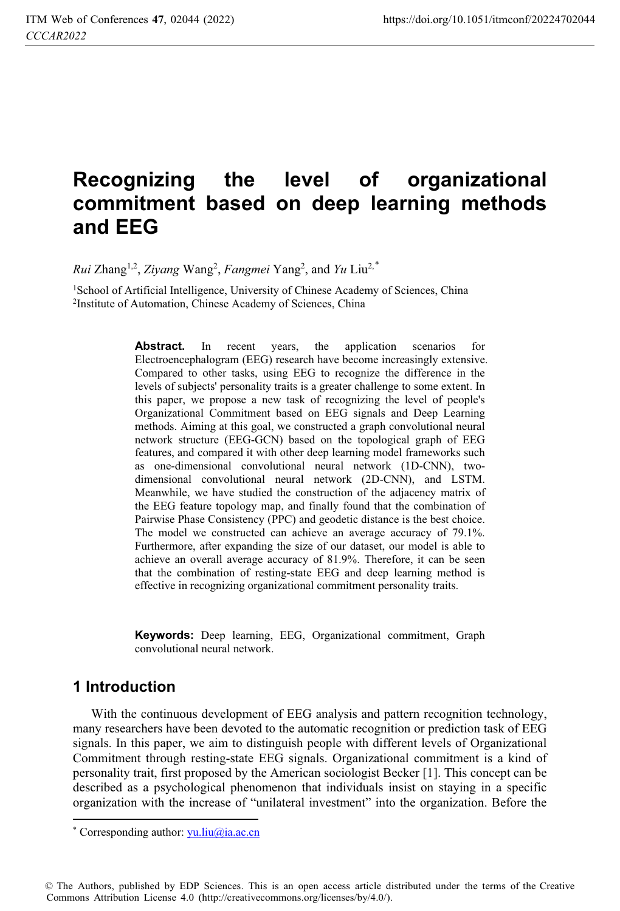# **Recognizing the level of organizational commitment based on deep learning methods and EEG**

 $Rui$  Zhang<sup>1,2</sup>, *Ziyang* Wang<sup>2</sup>, *Fangmei* Yang<sup>2</sup>, and *Yu* Liu<sup>2,\*</sup>

<sup>1</sup>School of Artificial Intelligence, University of Chinese Academy of Sciences, China <sup>2</sup>Institute of Automation, Chinese Academy of Sciences, China

Abstract. In recent years, the application scenarios for Electroencephalogram (EEG) research have become increasingly extensive. Compared to other tasks, using EEG to recognize the difference in the levels of subjects' personality traits is a greater challenge to some extent. In this paper, we propose a new task of recognizing the level of people's Organizational Commitment based on EEG signals and Deep Learning methods. Aiming at this goal, we constructed a graph convolutional neural network structure (EEG-GCN) based on the topological graph of EEG features, and compared it with other deep learning model frameworks such as one-dimensional convolutional neural network (1D-CNN), twodimensional convolutional neural network (2D-CNN), and LSTM. Meanwhile, we have studied the construction of the adjacency matrix of the EEG feature topology map, and finally found that the combination of Pairwise Phase Consistency (PPC) and geodetic distance is the best choice. The model we constructed can achieve an average accuracy of 79.1%. Furthermore, after expanding the size of our dataset, our model is able to achieve an overall average accuracy of 81.9%. Therefore, it can be seen that the combination of resting-state EEG and deep learning method is effective in recognizing organizational commitment personality traits.

**Keywords:** Deep learning, EEG, Organizational commitment, Graph convolutional neural network.

### **1 Introduction**

With the continuous development of EEG analysis and pattern recognition technology, many researchers have been devoted to the automatic recognition or prediction task of EEG signals. In this paper, we aim to distinguish people with different levels of Organizational Commitment through resting-state EEG signals. Organizational commitment is a kind of personality trait, first proposed by the American sociologist Becker [1]. This concept can be described as a psychological phenomenon that individuals insist on staying in a specific organization with the increase of "unilateral investment" into the organization. Before the

© The Authors, published by EDP Sciences. This is an open access article distributed under the terms of the Creative Commons Attribution License 4.0 (http://creativecommons.org/licenses/by/4.0/).

 $\overline{a}$ \* Corresponding author: *yu.liu@ia.ac.cn*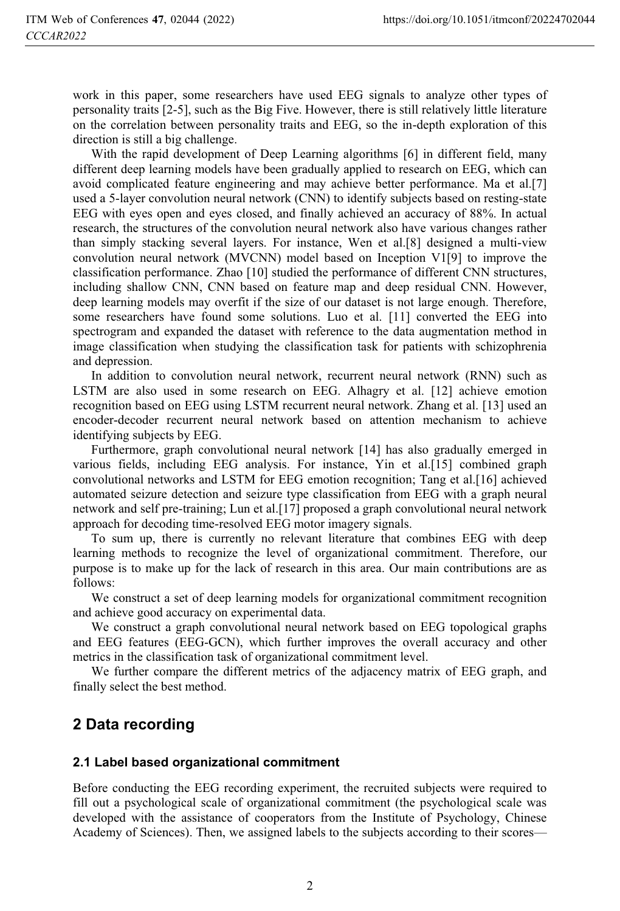work in this paper, some researchers have used EEG signals to analyze other types of personality traits [2-5], such as the Big Five. However, there is still relatively little literature on the correlation between personality traits and EEG, so the in-depth exploration of this direction is still a big challenge.

With the rapid development of Deep Learning algorithms [6] in different field, many different deep learning models have been gradually applied to research on EEG, which can avoid complicated feature engineering and may achieve better performance. Ma et al.[7] used a 5-layer convolution neural network (CNN) to identify subjects based on resting-state EEG with eyes open and eyes closed, and finally achieved an accuracy of 88%. In actual research, the structures of the convolution neural network also have various changes rather than simply stacking several layers. For instance, Wen et al.[8] designed a multi-view convolution neural network (MVCNN) model based on Inception V1[9] to improve the classification performance. Zhao [10] studied the performance of different CNN structures, including shallow CNN, CNN based on feature map and deep residual CNN. However, deep learning models may overfit if the size of our dataset is not large enough. Therefore, some researchers have found some solutions. Luo et al. [11] converted the EEG into spectrogram and expanded the dataset with reference to the data augmentation method in image classification when studying the classification task for patients with schizophrenia and depression.

In addition to convolution neural network, recurrent neural network (RNN) such as LSTM are also used in some research on EEG. Alhagry et al. [12] achieve emotion recognition based on EEG using LSTM recurrent neural network. Zhang et al. [13] used an encoder-decoder recurrent neural network based on attention mechanism to achieve identifying subjects by EEG.

Furthermore, graph convolutional neural network [14] has also gradually emerged in various fields, including EEG analysis. For instance, Yin et al.[15] combined graph convolutional networks and LSTM for EEG emotion recognition; Tang et al.[16] achieved automated seizure detection and seizure type classification from EEG with a graph neural network and self pre-training; Lun et al.[17] proposed a graph convolutional neural network approach for decoding time-resolved EEG motor imagery signals.

To sum up, there is currently no relevant literature that combines EEG with deep learning methods to recognize the level of organizational commitment. Therefore, our purpose is to make up for the lack of research in this area. Our main contributions are as follows:

We construct a set of deep learning models for organizational commitment recognition and achieve good accuracy on experimental data.

We construct a graph convolutional neural network based on EEG topological graphs and EEG features (EEG-GCN), which further improves the overall accuracy and other metrics in the classification task of organizational commitment level.

We further compare the different metrics of the adjacency matrix of EEG graph, and finally select the best method.

### **2 Data recording**

### **2.1 Label based organizational commitment**

Before conducting the EEG recording experiment, the recruited subjects were required to fill out a psychological scale of organizational commitment (the psychological scale was developed with the assistance of cooperators from the Institute of Psychology, Chinese Academy of Sciences). Then, we assigned labels to the subjects according to their scores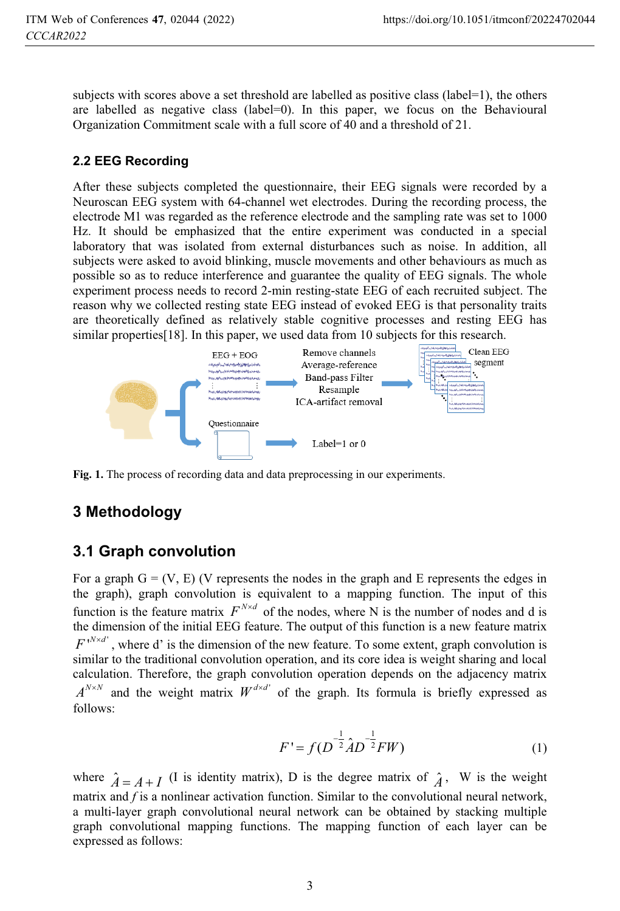subjects with scores above a set threshold are labelled as positive class (label=1), the others are labelled as negative class (label=0). In this paper, we focus on the Behavioural Organization Commitment scale with a full score of 40 and a threshold of 21.

### **2.2 EEG Recording**

After these subjects completed the questionnaire, their EEG signals were recorded by a Neuroscan EEG system with 64-channel wet electrodes. During the recording process, the electrode M1 was regarded as the reference electrode and the sampling rate was set to 1000 Hz. It should be emphasized that the entire experiment was conducted in a special laboratory that was isolated from external disturbances such as noise. In addition, all subjects were asked to avoid blinking, muscle movements and other behaviours as much as possible so as to reduce interference and guarantee the quality of EEG signals. The whole experiment process needs to record 2-min resting-state EEG of each recruited subject. The reason why we collected resting state EEG instead of evoked EEG is that personality traits are theoretically defined as relatively stable cognitive processes and resting EEG has similar properties[18]. In this paper, we used data from 10 subjects for this research.



**Fig. 1.** The process of recording data and data preprocessing in our experiments.

# **3 Methodology**

# **3.1 Graph convolution**

For a graph  $G = (V, E)$  (V represents the nodes in the graph and E represents the edges in the graph), graph convolution is equivalent to a mapping function. The input of this function is the feature matrix  $F^{N \times d}$  of the nodes, where N is the number of nodes and d is the dimension of the initial EEG feature. The output of this function is a new feature matrix ' $F^{N \times d'}$ , where d' is the dimension of the new feature. To some extent, graph convolution is similar to the traditional convolution operation, and its core idea is weight sharing and local calculation. Therefore, the graph convolution operation depends on the adjacency matrix  $A^{N \times N}$  and the weight matrix  $W^{d \times d'}$  of the graph. Its formula is briefly expressed as follows:

$$
F' = f(D^{-\frac{1}{2}}\hat{A}D^{-\frac{1}{2}}FW)
$$
 (1)

where  $\hat{A} = A + I$  (I is identity matrix), D is the degree matrix of  $\hat{A}$ , W is the weight matrix and *f* is a nonlinear activation function. Similar to the convolutional neural network, a multi-layer graph convolutional neural network can be obtained by stacking multiple graph convolutional mapping functions. The mapping function of each layer can be expressed as follows: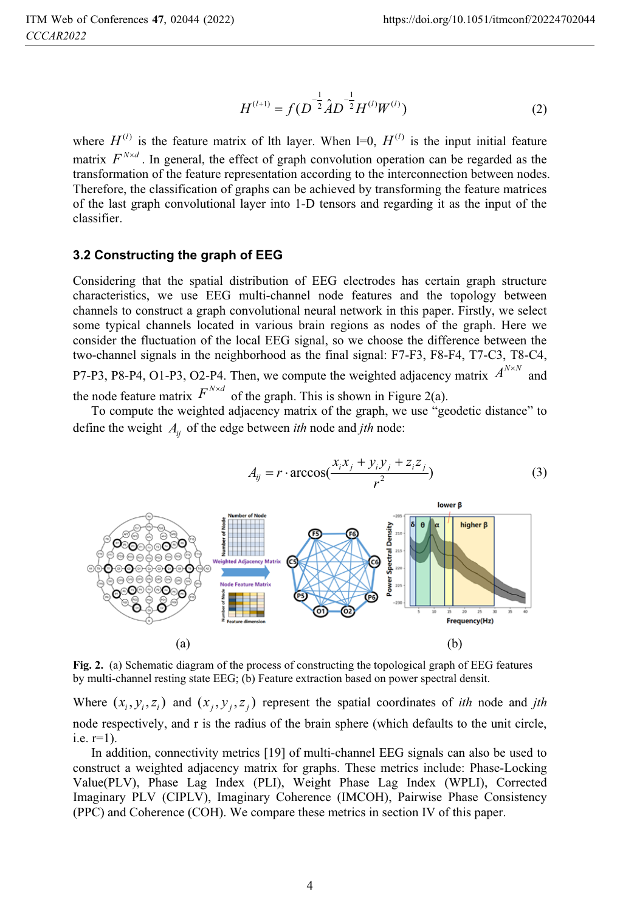$$
H^{(l+1)} = f(D^{-\frac{1}{2}}\hat{A}D^{-\frac{1}{2}}H^{(l)}W^{(l)})
$$
 (2)

where  $H^{(l)}$  is the feature matrix of lth layer. When l=0,  $H^{(l)}$  is the input initial feature matrix  $F^{N \times d}$ . In general, the effect of graph convolution operation can be regarded as the transformation of the feature representation according to the interconnection between nodes. Therefore, the classification of graphs can be achieved by transforming the feature matrices of the last graph convolutional layer into 1-D tensors and regarding it as the input of the classifier.

#### **3.2 Constructing the graph of EEG**

Considering that the spatial distribution of EEG electrodes has certain graph structure characteristics, we use EEG multi-channel node features and the topology between channels to construct a graph convolutional neural network in this paper. Firstly, we select some typical channels located in various brain regions as nodes of the graph. Here we consider the fluctuation of the local EEG signal, so we choose the difference between the two-channel signals in the neighborhood as the final signal: F7-F3, F8-F4, T7-C3, T8-C4, P7-P3, P8-P4, O1-P3, O2-P4. Then, we compute the weighted adjacency matrix  $A^{N \times N}$  and the node feature matrix  $F^{N \times d}$  of the graph. This is shown in Figure 2(a).

To compute the weighted adjacency matrix of the graph, we use "geodetic distance" to define the weight *Aij* of the edge between *ith* node and *jth* node:



**Fig. 2.** (a) Schematic diagram of the process of constructing the topological graph of EEG features by multi-channel resting state EEG; (b) Feature extraction based on power spectral densit.

Where  $(x_i, y_i, z_i)$  and  $(x_i, y_i, z_i)$  represent the spatial coordinates of *ith* node and *jth* node respectively, and r is the radius of the brain sphere (which defaults to the unit circle, i.e. r=1).

In addition, connectivity metrics [19] of multi-channel EEG signals can also be used to construct a weighted adjacency matrix for graphs. These metrics include: Phase-Locking Value(PLV), Phase Lag Index (PLI), Weight Phase Lag Index (WPLI), Corrected Imaginary PLV (CIPLV), Imaginary Coherence (IMCOH), Pairwise Phase Consistency (PPC) and Coherence (COH). We compare these metrics in section IV of this paper.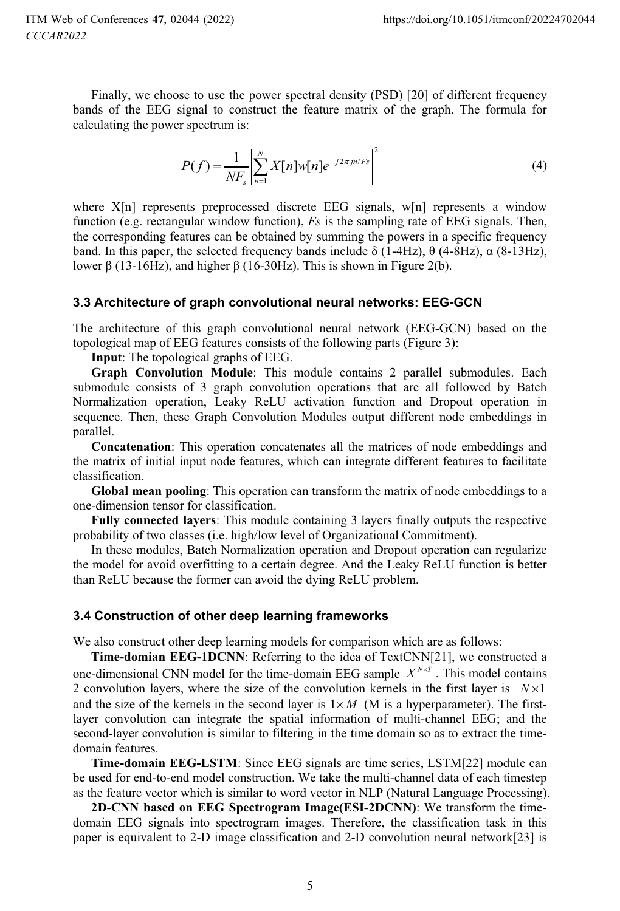Finally, we choose to use the power spectral density (PSD) [20] of different frequency bands of the EEG signal to construct the feature matrix of the graph. The formula for calculating the power spectrum is:

$$
P(f) = \frac{1}{N F_s} \left| \sum_{n=1}^{N} X[n] w[n] e^{-j2\pi f n/Fs} \right|^2
$$
 (4)

where X[n] represents preprocessed discrete EEG signals, w[n] represents a window function (e.g. rectangular window function), *Fs* is the sampling rate of EEG signals. Then, the corresponding features can be obtained by summing the powers in a specific frequency band. In this paper, the selected frequency bands include  $\delta$  (1-4Hz),  $\theta$  (4-8Hz),  $\alpha$  (8-13Hz), lower  $\beta$  (13-16Hz), and higher  $\beta$  (16-30Hz). This is shown in Figure 2(b).

#### **3.3 Architecture of graph convolutional neural networks: EEG-GCN**

The architecture of this graph convolutional neural network (EEG-GCN) based on the topological map of EEG features consists of the following parts (Figure 3):

**Input**: The topological graphs of EEG.

**Graph Convolution Module**: This module contains 2 parallel submodules. Each submodule consists of 3 graph convolution operations that are all followed by Batch Normalization operation, Leaky ReLU activation function and Dropout operation in sequence. Then, these Graph Convolution Modules output different node embeddings in parallel.

**Concatenation**: This operation concatenates all the matrices of node embeddings and the matrix of initial input node features, which can integrate different features to facilitate classification.

**Global mean pooling**: This operation can transform the matrix of node embeddings to a one-dimension tensor for classification.

**Fully connected layers**: This module containing 3 layers finally outputs the respective probability of two classes (i.e. high/low level of Organizational Commitment).

In these modules, Batch Normalization operation and Dropout operation can regularize the model for avoid overfitting to a certain degree. And the Leaky ReLU function is better than ReLU because the former can avoid the dying ReLU problem.

#### **3.4 Construction of other deep learning frameworks**

We also construct other deep learning models for comparison which are as follows:

**Time-domian EEG-1DCNN**: Referring to the idea of TextCNN[21], we constructed a one-dimensional CNN model for the time-domain EEG sample  $X^{N \times T}$ . This model contains 2 convolution layers, where the size of the convolution kernels in the first layer is  $N \times 1$ and the size of the kernels in the second layer is  $1 \times M$  (M is a hyperparameter). The firstlayer convolution can integrate the spatial information of multi-channel EEG; and the second-layer convolution is similar to filtering in the time domain so as to extract the timedomain features.

**Time-domain EEG-LSTM**: Since EEG signals are time series, LSTM[22] module can be used for end-to-end model construction. We take the multi-channel data of each timestep as the feature vector which is similar to word vector in NLP (Natural Language Processing).

**2D-CNN based on EEG Spectrogram Image(ESI-2DCNN)**: We transform the timedomain EEG signals into spectrogram images. Therefore, the classification task in this paper is equivalent to 2-D image classification and 2-D convolution neural network[23] is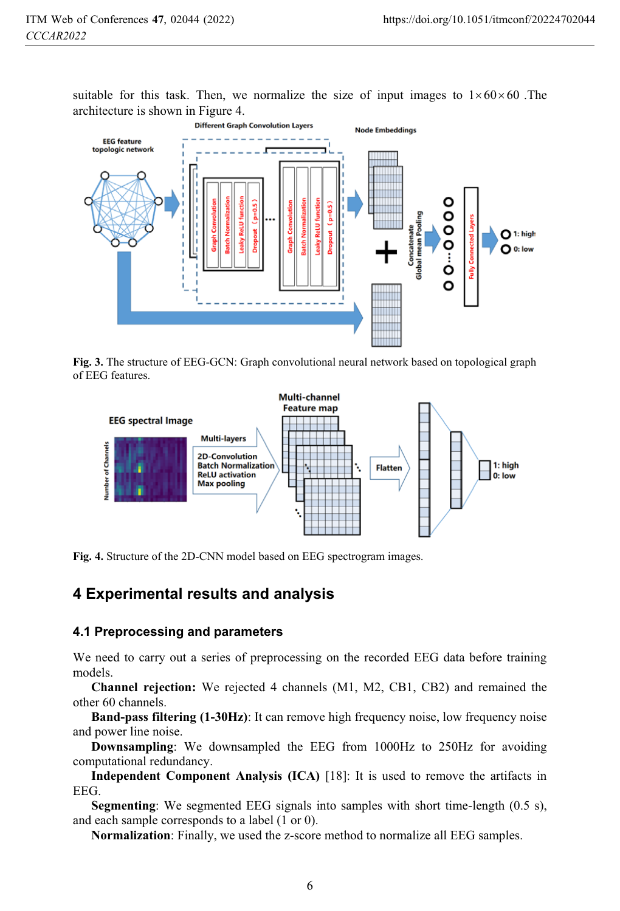suitable for this task. Then, we normalize the size of input images to  $1 \times 60 \times 60$ . The architecture is shown in Figure 4.



**Fig. 3.** The structure of EEG-GCN: Graph convolutional neural network based on topological graph of EEG features.



**Fig. 4.** Structure of the 2D-CNN model based on EEG spectrogram images.

### **4 Experimental results and analysis**

#### **4.1 Preprocessing and parameters**

We need to carry out a series of preprocessing on the recorded EEG data before training models.

**Channel rejection:** We rejected 4 channels (M1, M2, CB1, CB2) and remained the other 60 channels.

**Band-pass filtering (1-30Hz)**: It can remove high frequency noise, low frequency noise and power line noise.

**Downsampling**: We downsampled the EEG from 1000Hz to 250Hz for avoiding computational redundancy.

**Independent Component Analysis (ICA)** [18]: It is used to remove the artifacts in EEG.

**Segmenting**: We segmented EEG signals into samples with short time-length (0.5 s), and each sample corresponds to a label (1 or 0).

**Normalization**: Finally, we used the z-score method to normalize all EEG samples.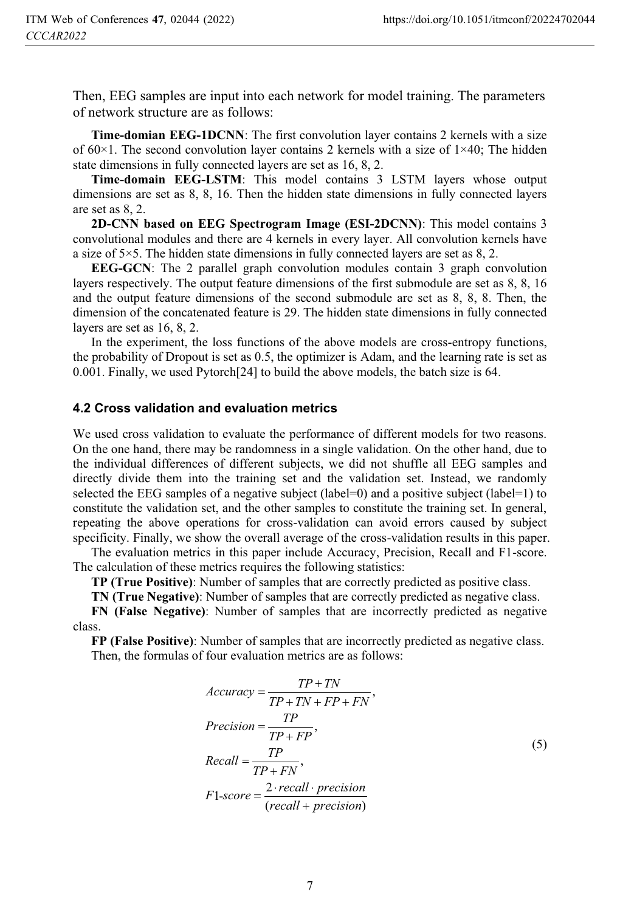Then, EEG samples are input into each network for model training. The parameters of network structure are as follows:

**Time-domian EEG-1DCNN**: The first convolution layer contains 2 kernels with a size of  $60\times1$ . The second convolution layer contains 2 kernels with a size of  $1\times40$ ; The hidden state dimensions in fully connected layers are set as 16, 8, 2.

**Time-domain EEG-LSTM**: This model contains 3 LSTM layers whose output dimensions are set as 8, 8, 16. Then the hidden state dimensions in fully connected layers are set as 8, 2.

**2D-CNN based on EEG Spectrogram Image (ESI-2DCNN)**: This model contains 3 convolutional modules and there are 4 kernels in every layer. All convolution kernels have a size of 5×5. The hidden state dimensions in fully connected layers are set as 8, 2.

**EEG-GCN**: The 2 parallel graph convolution modules contain 3 graph convolution layers respectively. The output feature dimensions of the first submodule are set as 8, 8, 16 and the output feature dimensions of the second submodule are set as 8, 8, 8. Then, the dimension of the concatenated feature is 29. The hidden state dimensions in fully connected layers are set as 16, 8, 2.

In the experiment, the loss functions of the above models are cross-entropy functions, the probability of Dropout is set as 0.5, the optimizer is Adam, and the learning rate is set as 0.001. Finally, we used Pytorch[24] to build the above models, the batch size is 64.

#### **4.2 Cross validation and evaluation metrics**

We used cross validation to evaluate the performance of different models for two reasons. On the one hand, there may be randomness in a single validation. On the other hand, due to the individual differences of different subjects, we did not shuffle all EEG samples and directly divide them into the training set and the validation set. Instead, we randomly selected the EEG samples of a negative subject (label=0) and a positive subject (label=1) to constitute the validation set, and the other samples to constitute the training set. In general, repeating the above operations for cross-validation can avoid errors caused by subject specificity. Finally, we show the overall average of the cross-validation results in this paper.

The evaluation metrics in this paper include Accuracy, Precision, Recall and F1-score. The calculation of these metrics requires the following statistics:

**TP (True Positive)**: Number of samples that are correctly predicted as positive class.

**TN (True Negative)**: Number of samples that are correctly predicted as negative class.

**FN (False Negative)**: Number of samples that are incorrectly predicted as negative class.

**FP (False Positive)**: Number of samples that are incorrectly predicted as negative class. Then, the formulas of four evaluation metrics are as follows:

$$
Accuracy = \frac{TP + TN}{TP + TN + FP + FN},
$$
  
\n
$$
Precision = \frac{TP}{TP + FP},
$$
  
\n
$$
Recall = \frac{TP}{TP + FN},
$$
  
\n
$$
F1-score = \frac{2 \cdot recall \cdot precision}{(recall + precision)}
$$
  
\n(5)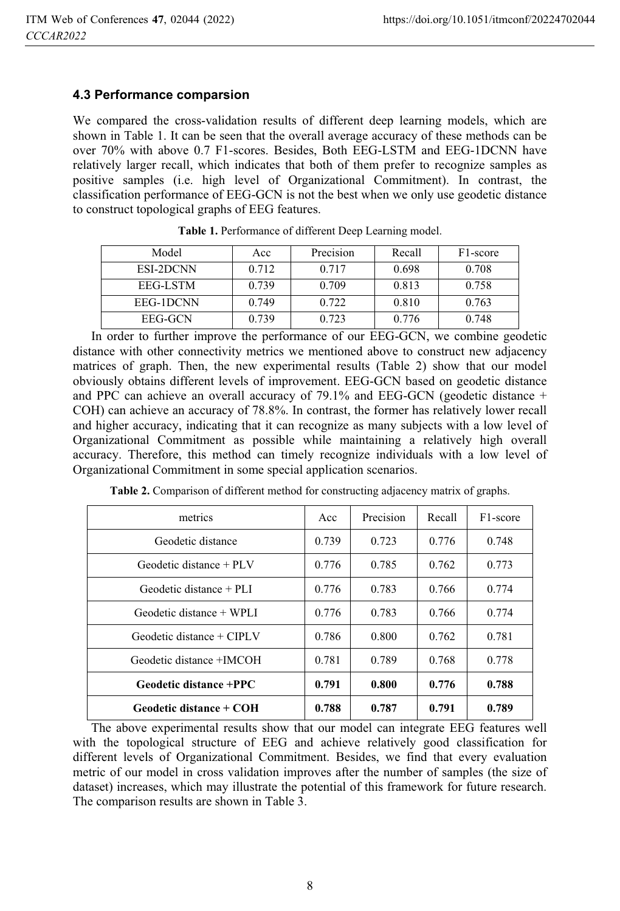### **4.3 Performance comparsion**

We compared the cross-validation results of different deep learning models, which are shown in Table 1. It can be seen that the overall average accuracy of these methods can be over 70% with above 0.7 F1-scores. Besides, Both EEG-LSTM and EEG-1DCNN have relatively larger recall, which indicates that both of them prefer to recognize samples as positive samples (i.e. high level of Organizational Commitment). In contrast, the classification performance of EEG-GCN is not the best when we only use geodetic distance to construct topological graphs of EEG features.

| Model     | Acc   | Precision | Recall | F <sub>1</sub> -score |
|-----------|-------|-----------|--------|-----------------------|
| ESI-2DCNN | 0.712 | 0.717     | 0.698  | 0.708                 |
| EEG-LSTM  | 0.739 | 0.709     | 0.813  | 0.758                 |
| EEG-1DCNN | 0.749 | 0.722     | 0.810  | 0.763                 |
| EEG-GCN   | 0.739 | 0.723     | 0.776  | 0.748                 |

**Table 1.** Performance of different Deep Learning model.

In order to further improve the performance of our EEG-GCN, we combine geodetic distance with other connectivity metrics we mentioned above to construct new adjacency matrices of graph. Then, the new experimental results (Table 2) show that our model obviously obtains different levels of improvement. EEG-GCN based on geodetic distance and PPC can achieve an overall accuracy of 79.1% and EEG-GCN (geodetic distance + COH) can achieve an accuracy of 78.8%. In contrast, the former has relatively lower recall and higher accuracy, indicating that it can recognize as many subjects with a low level of Organizational Commitment as possible while maintaining a relatively high overall accuracy. Therefore, this method can timely recognize individuals with a low level of Organizational Commitment in some special application scenarios.

| metrics                     | Acc   | Precision | Recall | F <sub>1</sub> -score |
|-----------------------------|-------|-----------|--------|-----------------------|
| Geodetic distance           | 0.739 | 0.723     | 0.776  | 0.748                 |
| Geodetic distance $+$ PLV   | 0.776 | 0.785     | 0.762  | 0.773                 |
| Geodetic distance $+$ PLI   | 0.776 | 0.783     | 0.766  | 0.774                 |
| Geodetic distance $+$ WPLI  | 0.776 | 0.783     | 0.766  | 0.774                 |
| $Geodetic distance + CIPLV$ | 0.786 | 0.800     | 0.762  | 0.781                 |
| Geodetic distance +IMCOH    | 0.781 | 0.789     | 0.768  | 0.778                 |
| Geodetic distance +PPC      | 0.791 | 0.800     | 0.776  | 0.788                 |
| Geodetic distance + COH     | 0.788 | 0.787     | 0.791  | 0.789                 |

**Table 2.** Comparison of different method for constructing adjacency matrix of graphs.

The above experimental results show that our model can integrate EEG features well with the topological structure of EEG and achieve relatively good classification for different levels of Organizational Commitment. Besides, we find that every evaluation metric of our model in cross validation improves after the number of samples (the size of dataset) increases, which may illustrate the potential of this framework for future research. The comparison results are shown in Table 3.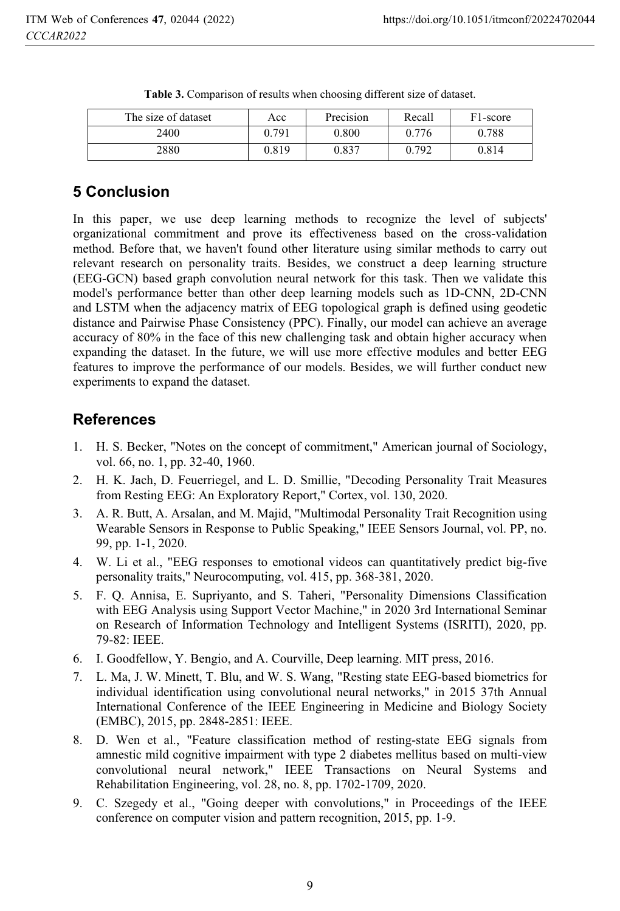| The size of dataset | Acc   | Precision | Recall | F <sub>1</sub> -score |
|---------------------|-------|-----------|--------|-----------------------|
| 2400                | 0.791 | 0.800     | 0.776  | 0.788                 |
| 2880                | 0.819 | 0.837     | 0.792  | 0.814                 |

|  | <b>Table 3.</b> Comparison of results when choosing different size of dataset. |  |  |  |  |  |
|--|--------------------------------------------------------------------------------|--|--|--|--|--|
|--|--------------------------------------------------------------------------------|--|--|--|--|--|

# **5 Conclusion**

In this paper, we use deep learning methods to recognize the level of subjects' organizational commitment and prove its effectiveness based on the cross-validation method. Before that, we haven't found other literature using similar methods to carry out relevant research on personality traits. Besides, we construct a deep learning structure (EEG-GCN) based graph convolution neural network for this task. Then we validate this model's performance better than other deep learning models such as 1D-CNN, 2D-CNN and LSTM when the adjacency matrix of EEG topological graph is defined using geodetic distance and Pairwise Phase Consistency (PPC). Finally, our model can achieve an average accuracy of 80% in the face of this new challenging task and obtain higher accuracy when expanding the dataset. In the future, we will use more effective modules and better EEG features to improve the performance of our models. Besides, we will further conduct new experiments to expand the dataset.

## **References**

- 1. H. S. Becker, "Notes on the concept of commitment," American journal of Sociology, vol. 66, no. 1, pp. 32-40, 1960.
- 2. H. K. Jach, D. Feuerriegel, and L. D. Smillie, "Decoding Personality Trait Measures from Resting EEG: An Exploratory Report," Cortex, vol. 130, 2020.
- 3. A. R. Butt, A. Arsalan, and M. Majid, "Multimodal Personality Trait Recognition using Wearable Sensors in Response to Public Speaking," IEEE Sensors Journal, vol. PP, no. 99, pp. 1-1, 2020.
- 4. W. Li et al., "EEG responses to emotional videos can quantitatively predict big-five personality traits," Neurocomputing, vol. 415, pp. 368-381, 2020.
- 5. F. Q. Annisa, E. Supriyanto, and S. Taheri, "Personality Dimensions Classification with EEG Analysis using Support Vector Machine," in 2020 3rd International Seminar on Research of Information Technology and Intelligent Systems (ISRITI), 2020, pp. 79-82: IEEE.
- 6. I. Goodfellow, Y. Bengio, and A. Courville, Deep learning. MIT press, 2016.
- 7. L. Ma, J. W. Minett, T. Blu, and W. S. Wang, "Resting state EEG-based biometrics for individual identification using convolutional neural networks," in 2015 37th Annual International Conference of the IEEE Engineering in Medicine and Biology Society (EMBC), 2015, pp. 2848-2851: IEEE.
- 8. D. Wen et al., "Feature classification method of resting-state EEG signals from amnestic mild cognitive impairment with type 2 diabetes mellitus based on multi-view convolutional neural network," IEEE Transactions on Neural Systems and Rehabilitation Engineering, vol. 28, no. 8, pp. 1702-1709, 2020.
- 9. C. Szegedy et al., "Going deeper with convolutions," in Proceedings of the IEEE conference on computer vision and pattern recognition, 2015, pp. 1-9.